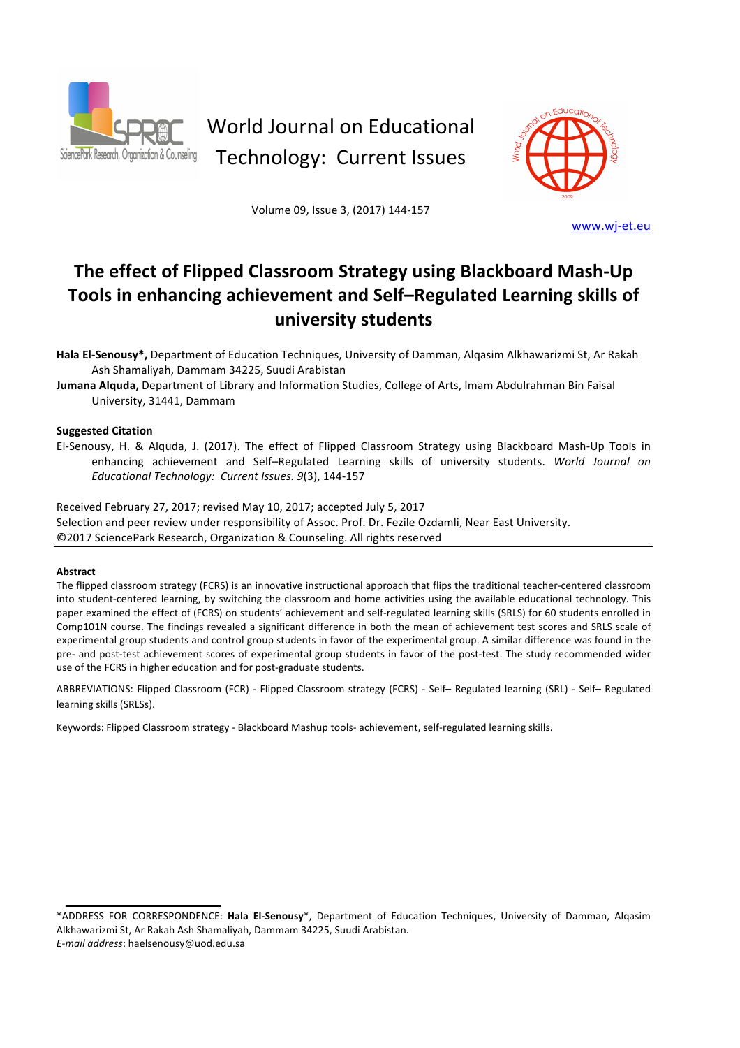

# World Journal on Educational Technology: Current Issues



Volume 09, Issue 3, (2017) 144-157

www.wj-et.eu

# The effect of Flipped Classroom Strategy using Blackboard Mash-Up Tools in enhancing achievement and Self-Regulated Learning skills of **university students**

Hala El-Senousy\*, Department of Education Techniques, University of Damman, Alqasim Alkhawarizmi St, Ar Rakah Ash Shamaliyah, Dammam 34225, Suudi Arabistan

**Jumana Alquda,** Department of Library and Information Studies, College of Arts, Imam Abdulrahman Bin Faisal University, 31441, Dammam

# **Suggested Citation**

El-Senousy, H. & Alquda, J. (2017). The effect of Flipped Classroom Strategy using Blackboard Mash-Up Tools in enhancing achievement and Self-Regulated Learning skills of university students. World Journal on *Educational Technology: Current Issues. 9*(3), 144-157

Received February 27, 2017; revised May 10, 2017; accepted July 5, 2017 Selection and peer review under responsibility of Assoc. Prof. Dr. Fezile Ozdamli, Near East University. ©2017 SciencePark Research, Organization & Counseling. All rights reserved

#### **Abstract**

The flipped classroom strategy (FCRS) is an innovative instructional approach that flips the traditional teacher-centered classroom into student-centered learning, by switching the classroom and home activities using the available educational technology. This paper examined the effect of (FCRS) on students' achievement and self-regulated learning skills (SRLS) for 60 students enrolled in Comp101N course. The findings revealed a significant difference in both the mean of achievement test scores and SRLS scale of experimental group students and control group students in favor of the experimental group. A similar difference was found in the pre- and post-test achievement scores of experimental group students in favor of the post-test. The study recommended wider use of the FCRS in higher education and for post-graduate students.

ABBREVIATIONS: Flipped Classroom (FCR) - Flipped Classroom strategy (FCRS) - Self- Regulated learning (SRL) - Self- Regulated learning skills (SRLSs).

Keywords: Flipped Classroom strategy - Blackboard Mashup tools- achievement, self-regulated learning skills.

<sup>\*</sup>ADDRESS FOR CORRESPONDENCE: Hala El-Senousy\*, Department of Education Techniques, University of Damman, Alqasim Alkhawarizmi St, Ar Rakah Ash Shamaliyah, Dammam 34225, Suudi Arabistan. *E-mail address*: haelsenousy@uod.edu.sa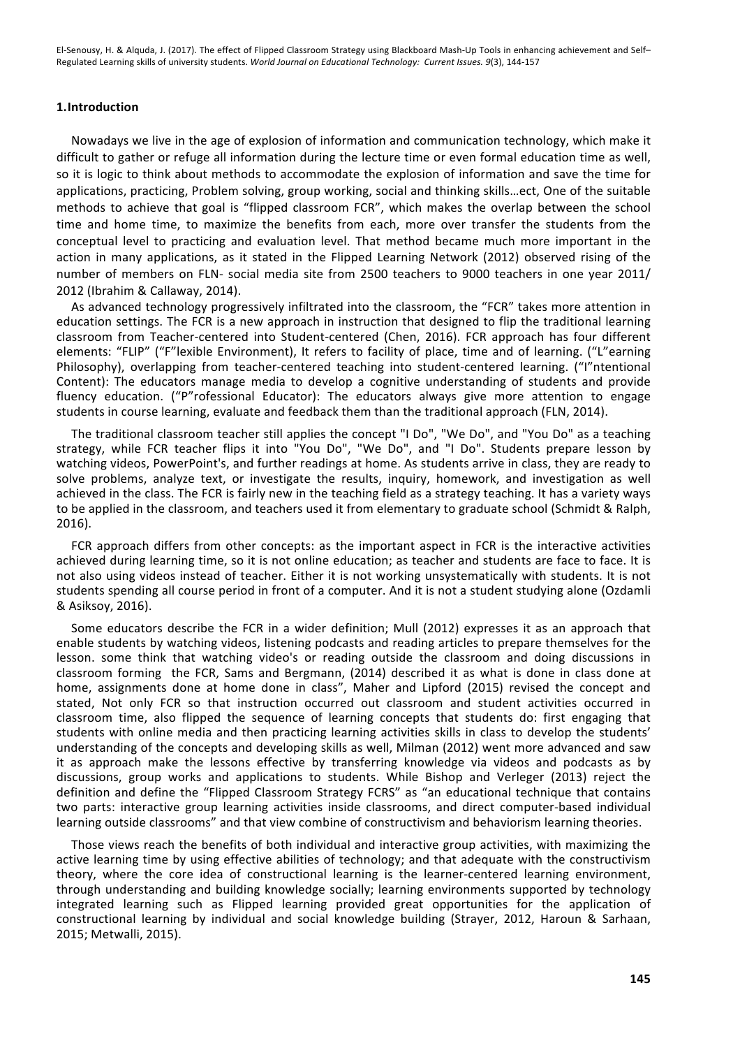#### **1.Introduction**

Nowadays we live in the age of explosion of information and communication technology, which make it difficult to gather or refuge all information during the lecture time or even formal education time as well, so it is logic to think about methods to accommodate the explosion of information and save the time for applications, practicing, Problem solving, group working, social and thinking skills...ect, One of the suitable methods to achieve that goal is "flipped classroom FCR", which makes the overlap between the school time and home time, to maximize the benefits from each, more over transfer the students from the conceptual level to practicing and evaluation level. That method became much more important in the action in many applications, as it stated in the Flipped Learning Network (2012) observed rising of the number of members on FLN- social media site from 2500 teachers to 9000 teachers in one year 2011/ 2012 (Ibrahim & Callaway, 2014).

As advanced technology progressively infiltrated into the classroom, the "FCR" takes more attention in education settings. The FCR is a new approach in instruction that designed to flip the traditional learning classroom from Teacher-centered into Student-centered (Chen, 2016). FCR approach has four different elements: "FLIP" ("F"lexible Environment), It refers to facility of place, time and of learning. ("L"earning Philosophy), overlapping from teacher-centered teaching into student-centered learning. ("I"ntentional Content): The educators manage media to develop a cognitive understanding of students and provide fluency education. ("P"rofessional Educator): The educators always give more attention to engage students in course learning, evaluate and feedback them than the traditional approach (FLN, 2014).

The traditional classroom teacher still applies the concept "I Do", "We Do", and "You Do" as a teaching strategy, while FCR teacher flips it into "You Do", "We Do", and "I Do". Students prepare lesson by watching videos, PowerPoint's, and further readings at home. As students arrive in class, they are ready to solve problems, analyze text, or investigate the results, inquiry, homework, and investigation as well achieved in the class. The FCR is fairly new in the teaching field as a strategy teaching. It has a variety ways to be applied in the classroom, and teachers used it from elementary to graduate school (Schmidt & Ralph, 2016). 

FCR approach differs from other concepts: as the important aspect in FCR is the interactive activities achieved during learning time, so it is not online education; as teacher and students are face to face. It is not also using videos instead of teacher. Either it is not working unsystematically with students. It is not students spending all course period in front of a computer. And it is not a student studying alone (Ozdamli & Asiksoy, 2016). 

Some educators describe the FCR in a wider definition; Mull (2012) expresses it as an approach that enable students by watching videos, listening podcasts and reading articles to prepare themselves for the lesson. some think that watching video's or reading outside the classroom and doing discussions in classroom forming the FCR, Sams and Bergmann, (2014) described it as what is done in class done at home, assignments done at home done in class", Maher and Lipford (2015) revised the concept and stated, Not only FCR so that instruction occurred out classroom and student activities occurred in classroom time, also flipped the sequence of learning concepts that students do: first engaging that students with online media and then practicing learning activities skills in class to develop the students' understanding of the concepts and developing skills as well, Milman (2012) went more advanced and saw it as approach make the lessons effective by transferring knowledge via videos and podcasts as by discussions, group works and applications to students. While Bishop and Verleger (2013) reject the definition and define the "Flipped Classroom Strategy FCRS" as "an educational technique that contains two parts: interactive group learning activities inside classrooms, and direct computer-based individual learning outside classrooms" and that view combine of constructivism and behaviorism learning theories.

Those views reach the benefits of both individual and interactive group activities, with maximizing the active learning time by using effective abilities of technology; and that adequate with the constructivism theory, where the core idea of constructional learning is the learner-centered learning environment, through understanding and building knowledge socially; learning environments supported by technology integrated learning such as Flipped learning provided great opportunities for the application of constructional learning by individual and social knowledge building (Strayer, 2012, Haroun & Sarhaan, 2015; Metwalli, 2015).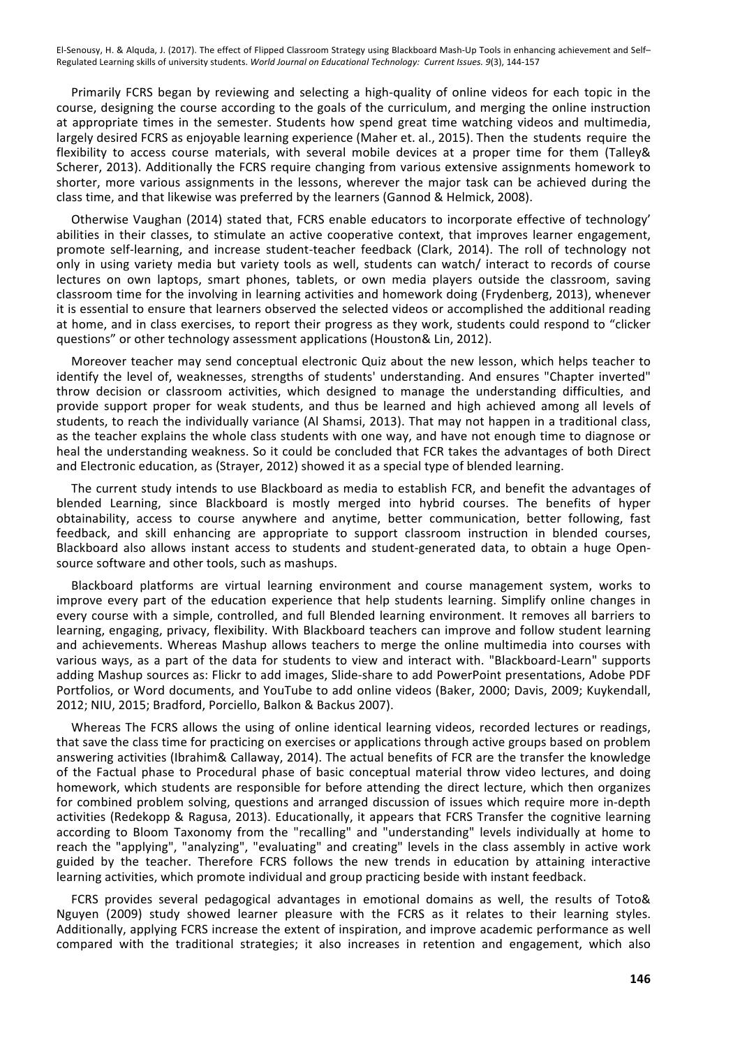Primarily FCRS began by reviewing and selecting a high-quality of online videos for each topic in the course, designing the course according to the goals of the curriculum, and merging the online instruction at appropriate times in the semester. Students how spend great time watching videos and multimedia, largely desired FCRS as enjoyable learning experience (Maher et. al., 2015). Then the students require the flexibility to access course materials, with several mobile devices at a proper time for them (Talley& Scherer, 2013). Additionally the FCRS require changing from various extensive assignments homework to shorter, more various assignments in the lessons, wherever the major task can be achieved during the class time, and that likewise was preferred by the learners (Gannod & Helmick, 2008).

Otherwise Vaughan (2014) stated that, FCRS enable educators to incorporate effective of technology' abilities in their classes, to stimulate an active cooperative context, that improves learner engagement, promote self-learning, and increase student-teacher feedback (Clark, 2014). The roll of technology not only in using variety media but variety tools as well, students can watch/ interact to records of course lectures on own laptops, smart phones, tablets, or own media players outside the classroom, saving classroom time for the involving in learning activities and homework doing (Frydenberg, 2013), whenever it is essential to ensure that learners observed the selected videos or accomplished the additional reading at home, and in class exercises, to report their progress as they work, students could respond to "clicker questions" or other technology assessment applications (Houston& Lin, 2012).

Moreover teacher may send conceptual electronic Quiz about the new lesson, which helps teacher to identify the level of, weaknesses, strengths of students' understanding. And ensures "Chapter inverted" throw decision or classroom activities, which designed to manage the understanding difficulties, and provide support proper for weak students, and thus be learned and high achieved among all levels of students, to reach the individually variance (Al Shamsi, 2013). That may not happen in a traditional class, as the teacher explains the whole class students with one way, and have not enough time to diagnose or heal the understanding weakness. So it could be concluded that FCR takes the advantages of both Direct and Electronic education, as (Strayer, 2012) showed it as a special type of blended learning.

The current study intends to use Blackboard as media to establish FCR, and benefit the advantages of blended Learning, since Blackboard is mostly merged into hybrid courses. The benefits of hyper obtainability, access to course anywhere and anytime, better communication, better following, fast feedback, and skill enhancing are appropriate to support classroom instruction in blended courses, Blackboard also allows instant access to students and student-generated data, to obtain a huge Opensource software and other tools, such as mashups.

Blackboard platforms are virtual learning environment and course management system, works to improve every part of the education experience that help students learning. Simplify online changes in every course with a simple, controlled, and full Blended learning environment. It removes all barriers to learning, engaging, privacy, flexibility. With Blackboard teachers can improve and follow student learning and achievements. Whereas Mashup allows teachers to merge the online multimedia into courses with various ways, as a part of the data for students to view and interact with. "Blackboard-Learn" supports adding Mashup sources as: Flickr to add images, Slide-share to add PowerPoint presentations, Adobe PDF Portfolios, or Word documents, and YouTube to add online videos (Baker, 2000; Davis, 2009; Kuykendall, 2012; NIU, 2015; Bradford, Porciello, Balkon & Backus 2007).

Whereas The FCRS allows the using of online identical learning videos, recorded lectures or readings, that save the class time for practicing on exercises or applications through active groups based on problem answering activities (Ibrahim & Callaway, 2014). The actual benefits of FCR are the transfer the knowledge of the Factual phase to Procedural phase of basic conceptual material throw video lectures, and doing homework, which students are responsible for before attending the direct lecture, which then organizes for combined problem solving, questions and arranged discussion of issues which require more in-depth activities (Redekopp & Ragusa, 2013). Educationally, it appears that FCRS Transfer the cognitive learning according to Bloom Taxonomy from the "recalling" and "understanding" levels individually at home to reach the "applying", "analyzing", "evaluating" and creating" levels in the class assembly in active work guided by the teacher. Therefore FCRS follows the new trends in education by attaining interactive learning activities, which promote individual and group practicing beside with instant feedback.

FCRS provides several pedagogical advantages in emotional domains as well, the results of Toto& Nguyen (2009) study showed learner pleasure with the FCRS as it relates to their learning styles. Additionally, applying FCRS increase the extent of inspiration, and improve academic performance as well compared with the traditional strategies; it also increases in retention and engagement, which also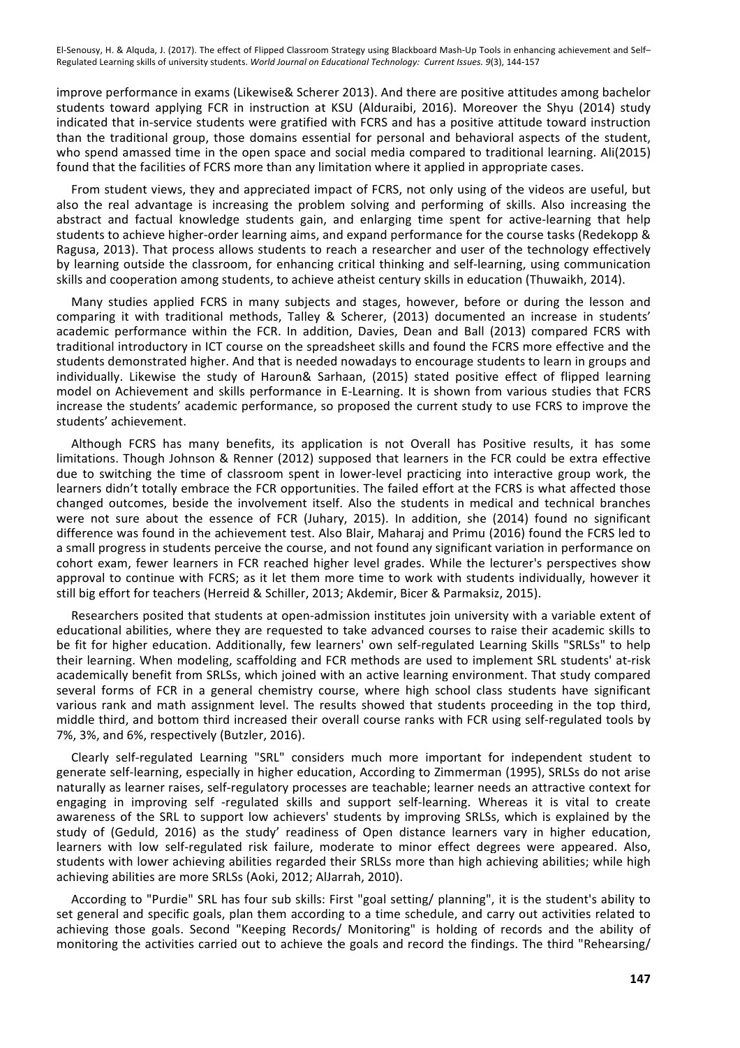improve performance in exams (Likewise& Scherer 2013). And there are positive attitudes among bachelor students toward applying FCR in instruction at KSU (Alduraibi, 2016). Moreover the Shyu (2014) study indicated that in-service students were gratified with FCRS and has a positive attitude toward instruction than the traditional group, those domains essential for personal and behavioral aspects of the student, who spend amassed time in the open space and social media compared to traditional learning. Ali(2015) found that the facilities of FCRS more than any limitation where it applied in appropriate cases.

From student views, they and appreciated impact of FCRS, not only using of the videos are useful, but also the real advantage is increasing the problem solving and performing of skills. Also increasing the abstract and factual knowledge students gain, and enlarging time spent for active-learning that help students to achieve higher-order learning aims, and expand performance for the course tasks (Redekopp & Ragusa, 2013). That process allows students to reach a researcher and user of the technology effectively by learning outside the classroom, for enhancing critical thinking and self-learning, using communication skills and cooperation among students, to achieve atheist century skills in education (Thuwaikh, 2014).

Many studies applied FCRS in many subjects and stages, however, before or during the lesson and comparing it with traditional methods, Talley & Scherer, (2013) documented an increase in students' academic performance within the FCR. In addition, Davies, Dean and Ball (2013) compared FCRS with traditional introductory in ICT course on the spreadsheet skills and found the FCRS more effective and the students demonstrated higher. And that is needed nowadays to encourage students to learn in groups and individually. Likewise the study of Haroun& Sarhaan, (2015) stated positive effect of flipped learning model on Achievement and skills performance in E-Learning. It is shown from various studies that FCRS increase the students' academic performance, so proposed the current study to use FCRS to improve the students' achievement.

Although FCRS has many benefits, its application is not Overall has Positive results, it has some limitations. Though Johnson & Renner (2012) supposed that learners in the FCR could be extra effective due to switching the time of classroom spent in lower-level practicing into interactive group work, the learners didn't totally embrace the FCR opportunities. The failed effort at the FCRS is what affected those changed outcomes, beside the involvement itself. Also the students in medical and technical branches were not sure about the essence of FCR (Juhary, 2015). In addition, she (2014) found no significant difference was found in the achievement test. Also Blair, Maharaj and Primu (2016) found the FCRS led to a small progress in students perceive the course, and not found any significant variation in performance on cohort exam, fewer learners in FCR reached higher level grades. While the lecturer's perspectives show approval to continue with FCRS; as it let them more time to work with students individually, however it still big effort for teachers (Herreid & Schiller, 2013; Akdemir, Bicer & Parmaksiz, 2015).

Researchers posited that students at open-admission institutes join university with a variable extent of educational abilities, where they are requested to take advanced courses to raise their academic skills to be fit for higher education. Additionally, few learners' own self-regulated Learning Skills "SRLSs" to help their learning. When modeling, scaffolding and FCR methods are used to implement SRL students' at-risk academically benefit from SRLSs, which joined with an active learning environment. That study compared several forms of FCR in a general chemistry course, where high school class students have significant various rank and math assignment level. The results showed that students proceeding in the top third, middle third, and bottom third increased their overall course ranks with FCR using self-regulated tools by 7%, 3%, and 6%, respectively (Butzler, 2016).

Clearly self-regulated Learning "SRL" considers much more important for independent student to generate self-learning, especially in higher education, According to Zimmerman (1995), SRLSs do not arise naturally as learner raises, self-regulatory processes are teachable; learner needs an attractive context for engaging in improving self -regulated skills and support self-learning. Whereas it is vital to create awareness of the SRL to support low achievers' students by improving SRLSs, which is explained by the study of (Geduld, 2016) as the study' readiness of Open distance learners vary in higher education, learners with low self-regulated risk failure, moderate to minor effect degrees were appeared. Also, students with lower achieving abilities regarded their SRLSs more than high achieving abilities; while high achieving abilities are more SRLSs (Aoki, 2012; AlJarrah, 2010).

According to "Purdie" SRL has four sub skills: First "goal setting/ planning", it is the student's ability to set general and specific goals, plan them according to a time schedule, and carry out activities related to achieving those goals. Second "Keeping Records/ Monitoring" is holding of records and the ability of monitoring the activities carried out to achieve the goals and record the findings. The third "Rehearsing/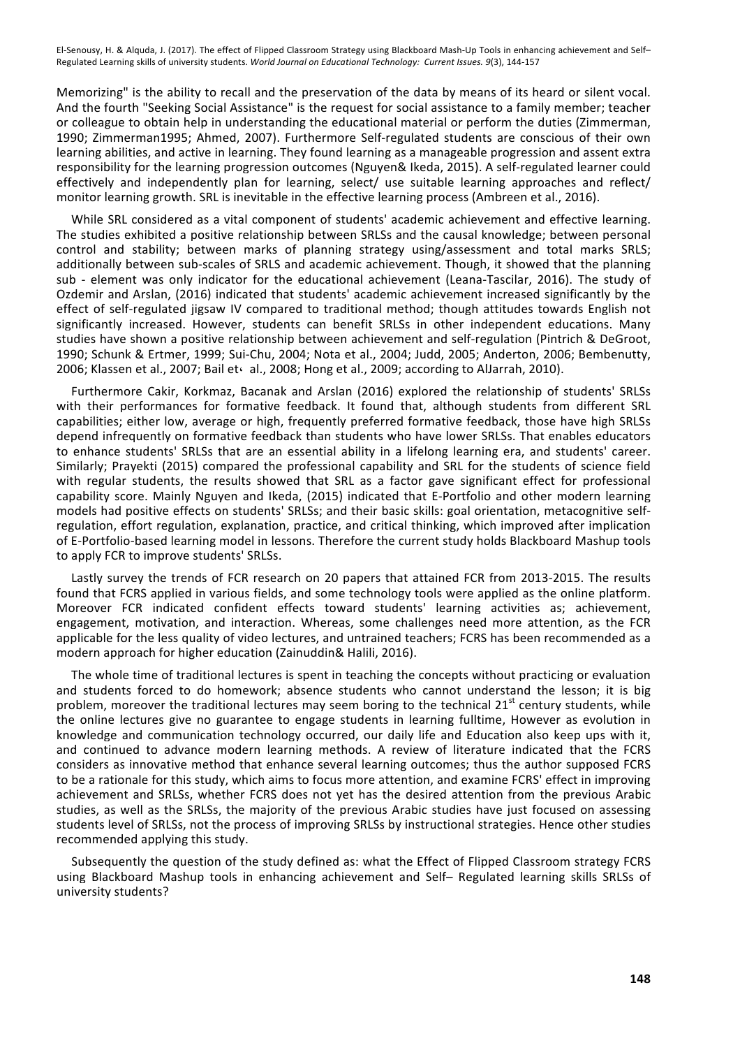Memorizing" is the ability to recall and the preservation of the data by means of its heard or silent vocal. And the fourth "Seeking Social Assistance" is the request for social assistance to a family member; teacher or colleague to obtain help in understanding the educational material or perform the duties (Zimmerman, 1990; Zimmerman1995; Ahmed, 2007). Furthermore Self-regulated students are conscious of their own learning abilities, and active in learning. They found learning as a manageable progression and assent extra responsibility for the learning progression outcomes (Nguyen& Ikeda, 2015). A self-regulated learner could effectively and independently plan for learning, select/ use suitable learning approaches and reflect/ monitor learning growth. SRL is inevitable in the effective learning process (Ambreen et al., 2016).

While SRL considered as a vital component of students' academic achievement and effective learning. The studies exhibited a positive relationship between SRLSs and the causal knowledge; between personal control and stability; between marks of planning strategy using/assessment and total marks SRLS; additionally between sub-scales of SRLS and academic achievement. Though, it showed that the planning sub - element was only indicator for the educational achievement (Leana-Tascilar, 2016). The study of Ozdemir and Arslan, (2016) indicated that students' academic achievement increased significantly by the effect of self-regulated jigsaw IV compared to traditional method; though attitudes towards English not significantly increased. However, students can benefit SRLSs in other independent educations. Many studies have shown a positive relationship between achievement and self-regulation (Pintrich & DeGroot, 1990; Schunk & Ertmer, 1999; Sui-Chu, 2004; Nota et al., 2004; Judd, 2005; Anderton, 2006; Bembenutty, 2006; Klassen et al., 2007; Bail et $\cdot$  al., 2008; Hong et al., 2009; according to AlJarrah, 2010).

Furthermore Cakir, Korkmaz, Bacanak and Arslan (2016) explored the relationship of students' SRLSs with their performances for formative feedback. It found that, although students from different SRL capabilities; either low, average or high, frequently preferred formative feedback, those have high SRLSs depend infrequently on formative feedback than students who have lower SRLSs. That enables educators to enhance students' SRLSs that are an essential ability in a lifelong learning era, and students' career. Similarly; Prayekti (2015) compared the professional capability and SRL for the students of science field with regular students, the results showed that SRL as a factor gave significant effect for professional capability score. Mainly Nguyen and Ikeda, (2015) indicated that E-Portfolio and other modern learning models had positive effects on students' SRLSs; and their basic skills: goal orientation, metacognitive selfregulation, effort regulation, explanation, practice, and critical thinking, which improved after implication of E-Portfolio-based learning model in lessons. Therefore the current study holds Blackboard Mashup tools to apply FCR to improve students' SRLSs.

Lastly survey the trends of FCR research on 20 papers that attained FCR from 2013-2015. The results found that FCRS applied in various fields, and some technology tools were applied as the online platform. Moreover FCR indicated confident effects toward students' learning activities as; achievement, engagement, motivation, and interaction. Whereas, some challenges need more attention, as the FCR applicable for the less quality of video lectures, and untrained teachers; FCRS has been recommended as a modern approach for higher education (Zainuddin& Halili, 2016).

The whole time of traditional lectures is spent in teaching the concepts without practicing or evaluation and students forced to do homework; absence students who cannot understand the lesson; it is big problem, moreover the traditional lectures may seem boring to the technical  $21^{st}$  century students, while the online lectures give no guarantee to engage students in learning fulltime, However as evolution in knowledge and communication technology occurred, our daily life and Education also keep ups with it, and continued to advance modern learning methods. A review of literature indicated that the FCRS considers as innovative method that enhance several learning outcomes; thus the author supposed FCRS to be a rationale for this study, which aims to focus more attention, and examine FCRS' effect in improving achievement and SRLSs, whether FCRS does not yet has the desired attention from the previous Arabic studies, as well as the SRLSs, the majority of the previous Arabic studies have just focused on assessing students level of SRLSs, not the process of improving SRLSs by instructional strategies. Hence other studies recommended applying this study.

Subsequently the question of the study defined as: what the Effect of Flipped Classroom strategy FCRS using Blackboard Mashup tools in enhancing achievement and Self- Regulated learning skills SRLSs of university students?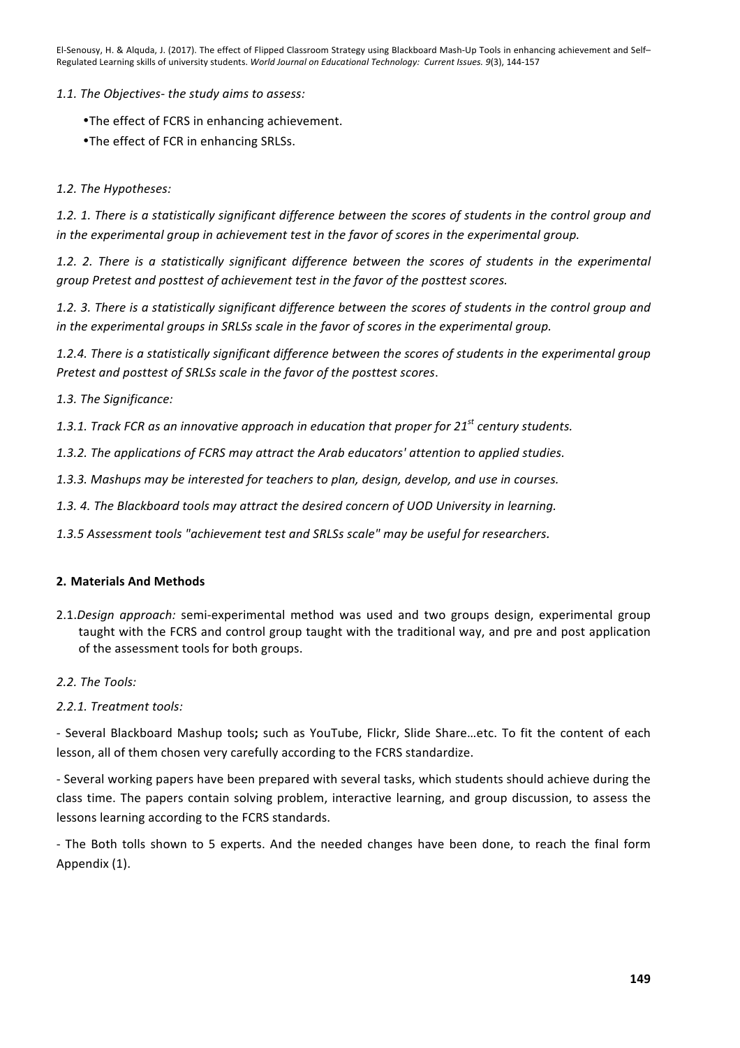*1.1. The Objectives- the study aims to assess:*

•The effect of FCRS in enhancing achievement.

•The effect of FCR in enhancing SRLSs.

*1.2. The Hypotheses:*

1.2. 1. There is a statistically significant difference between the scores of students in the control group and in the experimental group in achievement test in the favor of scores in the experimental group.

1.2. 2. There is a statistically significant difference between the scores of students in the experimental *group Pretest and posttest of achievement test in the favor of the posttest scores.*

1.2. 3. There is a statistically significant difference between the scores of students in the control group and *in* the experimental groups in SRLSs scale in the favor of scores in the experimental group.

1.2.4. There is a statistically significant difference between the scores of students in the experimental group Pretest and posttest of SRLSs scale in the favor of the posttest scores.

1.3. The Significance:

1.3.1. Track FCR as an innovative approach in education that proper for 21<sup>st</sup> century students.

1.3.2. The applications of FCRS may attract the Arab educators' attention to applied studies.

1.3.3. Mashups may be interested for teachers to plan, design, develop, and use in courses.

1.3. 4. The Blackboard tools may attract the desired concern of UOD University in learning.

1.3.5 Assessment tools "achievement test and SRLSs scale" may be useful for researchers.

# **2. Materials And Methods**

- 2.1.*Design approach:* semi-experimental method was used and two groups design, experimental group taught with the FCRS and control group taught with the traditional way, and pre and post application of the assessment tools for both groups.
- *2.2. The Tools:*

# *2.2.1. Treatment tools:*

- Several Blackboard Mashup tools; such as YouTube, Flickr, Slide Share...etc. To fit the content of each lesson, all of them chosen very carefully according to the FCRS standardize.

- Several working papers have been prepared with several tasks, which students should achieve during the class time. The papers contain solving problem, interactive learning, and group discussion, to assess the lessons learning according to the FCRS standards.

- The Both tolls shown to 5 experts. And the needed changes have been done, to reach the final form Appendix (1).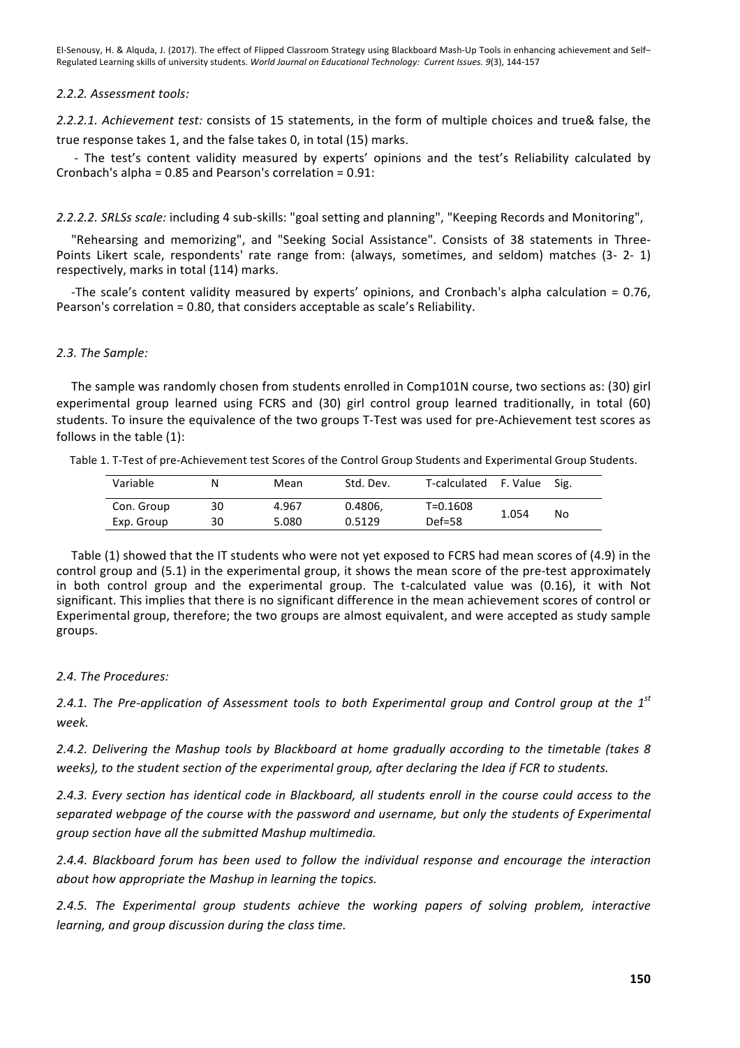## *2.2.2. Assessment tools:*

2.2.2.1. Achievement test: consists of 15 statements, in the form of multiple choices and true& false, the true response takes 1, and the false takes 0, in total (15) marks.

- The test's content validity measured by experts' opinions and the test's Reliability calculated by Cronbach's alpha =  $0.85$  and Pearson's correlation =  $0.91$ :

2.2.2.2. SRLSs scale: including 4 sub-skills: "goal setting and planning", "Keeping Records and Monitoring",

"Rehearsing and memorizing", and "Seeking Social Assistance". Consists of 38 statements in Three-Points Likert scale, respondents' rate range from: (always, sometimes, and seldom) matches (3- 2- 1) respectively, marks in total (114) marks.

-The scale's content validity measured by experts' opinions, and Cronbach's alpha calculation =  $0.76$ , Pearson's correlation  $= 0.80$ , that considers acceptable as scale's Reliability.

# *2.3. The Sample:*

The sample was randomly chosen from students enrolled in Comp101N course, two sections as: (30) girl experimental group learned using FCRS and (30) girl control group learned traditionally, in total (60) students. To insure the equivalence of the two groups T-Test was used for pre-Achievement test scores as follows in the table  $(1)$ :

|  |  |  | Table 1. T-Test of pre-Achievement test Scores of the Control Group Students and Experimental Group Students. |  |
|--|--|--|---------------------------------------------------------------------------------------------------------------|--|
|  |  |  |                                                                                                               |  |

| Variable   | N  | Mean  | Std. Dev. | T-calculated | F. Value | Sig. |
|------------|----|-------|-----------|--------------|----------|------|
| Con. Group | 30 | 4.967 | 0.4806.   | T=0.1608     | 1.054    | No   |
| Exp. Group | 30 | 5.080 | 0.5129    | $Def=58$     |          |      |

Table (1) showed that the IT students who were not yet exposed to FCRS had mean scores of (4.9) in the control group and (5.1) in the experimental group, it shows the mean score of the pre-test approximately in both control group and the experimental group. The t-calculated value was  $(0.16)$ , it with Not significant. This implies that there is no significant difference in the mean achievement scores of control or Experimental group, therefore; the two groups are almost equivalent, and were accepted as study sample groups. 

# 2.4. The Procedures:

2.4.1. The Pre-application of Assessment tools to both Experimental group and Control group at the 1<sup>st</sup> *week.*

2.4.2. Delivering the Mashup tools by Blackboard at home gradually according to the timetable (takes 8 weeks), to the student section of the experimental group, after declaring the Idea if FCR to students.

2.4.3. *Every section has identical code in Blackboard, all students enroll in the course could access to the* separated webpage of the course with the password and username, but only the students of Experimental *group section have all the submitted Mashup multimedia.* 

2.4.4. Blackboard forum has been used to follow the individual response and encourage the interaction *about how appropriate the Mashup in learning the topics.* 

*2.4.5. The Experimental group students achieve the working papers of solving problem, interactive learning, and group discussion during the class time.*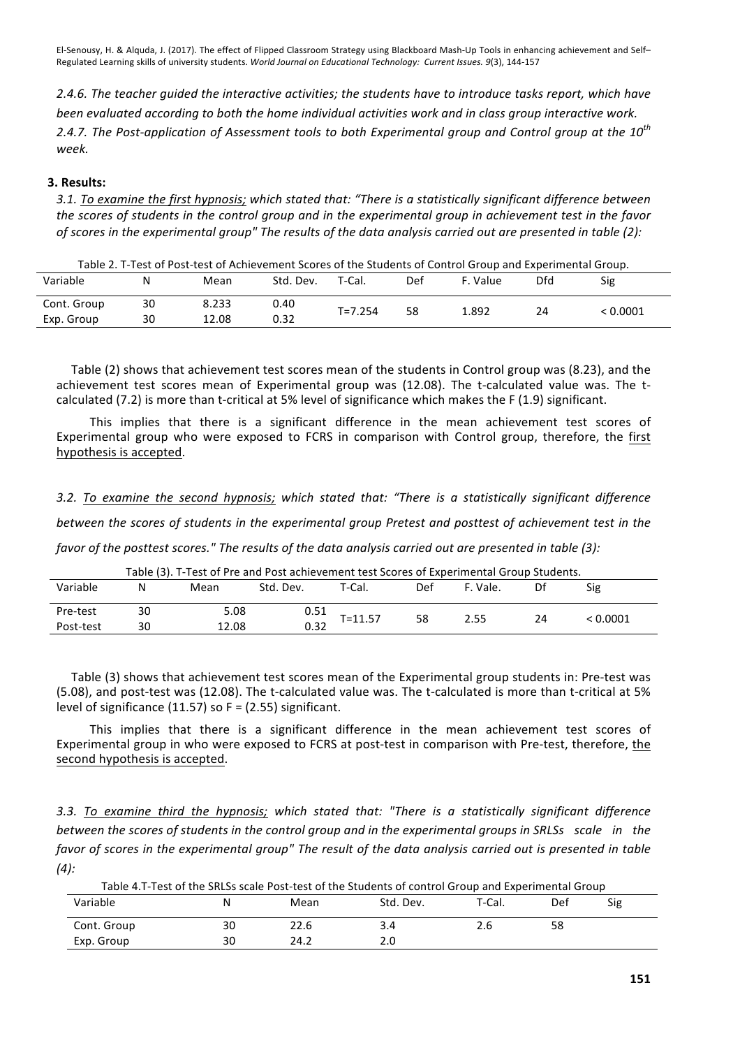2.4.6. The teacher quided the interactive activities; the students have to introduce tasks report, which have *been* evaluated according to both the home individual activities work and in class group interactive work. 2.4.7. The Post-application of Assessment tools to both Experimental group and Control aroup at the 10<sup>th</sup> *week.*

# **3. Results:**

3.1. To examine the first hypnosis; which stated that: "There is a statistically significant difference between *the scores of students in the control group and in the experimental group in achievement test in the favor of scores in the experimental group"* The results of the data analysis carried out are presented in table (2):

| Table 2. T-Test of Post-test of Achievement Scores of the Students of Control Group and Experimental Group. |  |  |  |  |
|-------------------------------------------------------------------------------------------------------------|--|--|--|--|
|-------------------------------------------------------------------------------------------------------------|--|--|--|--|

| Variable    | N  | Mean  | Std. Dev. | T-Cal.      | Def | F. Value | Dfd | Sig    |
|-------------|----|-------|-----------|-------------|-----|----------|-----|--------|
| Cont. Group | 30 | 8.233 | 0.40      | $T = 7.254$ | 58  | 1.892    | 24  | 0.0001 |
| Exp. Group  | 30 | 12.08 | 0.32      |             |     |          |     |        |

Table (2) shows that achievement test scores mean of the students in Control group was (8.23), and the achievement test scores mean of Experimental group was (12.08). The t-calculated value was. The tcalculated (7.2) is more than t-critical at 5% level of significance which makes the F (1.9) significant.

This implies that there is a significant difference in the mean achievement test scores of Experimental group who were exposed to FCRS in comparison with Control group, therefore, the first hypothesis is accepted.

# 3.2. To examine the second hypnosis; which stated that: "There is a statistically significant difference

*between the scores of students in the experimental group Pretest and posttest of achievement test in the* 

*favor* of the posttest scores." The results of the data analysis carried out are presented in table (3):

Variable N Mean Std. Dev. T-Cal. Def F. Vale. Df Sig Pre-test <sup>30</sup> 5.08 0.51 T=11.57 <sup>58</sup> 2.55 <sup>24</sup> < 0.0001 Post-test <sup>30</sup> 12.08 0.32

Table (3). T-Test of Pre and Post achievement test Scores of Experimental Group Students.

Table (3) shows that achievement test scores mean of the Experimental group students in: Pre-test was (5.08), and post-test was (12.08). The t-calculated value was. The t-calculated is more than t-critical at 5% level of significance  $(11.57)$  so F =  $(2.55)$  significant.

This implies that there is a significant difference in the mean achievement test scores of Experimental group in who were exposed to FCRS at post-test in comparison with Pre-test, therefore, the second hypothesis is accepted.

*3.3. To examine third the hypnosis; which stated that: "There is a statistically significant difference between* the scores of students in the control group and in the experimental groups in SRLSs scale in the *favor* of scores in the experimental group" The result of the data analysis carried out is presented in table *(4):*

| Table 4.T-Test of the SRLSs scale Post-test of the Students of control Group and Experimental Group |    |      |           |        |     |     |  |  |  |
|-----------------------------------------------------------------------------------------------------|----|------|-----------|--------|-----|-----|--|--|--|
| Variable                                                                                            | N  | Mean | Std. Dev. | T-Cal. | Def | Sig |  |  |  |
| Cont. Group                                                                                         | 30 | 22.6 | 3.4       | 2.6    | 58  |     |  |  |  |
| Exp. Group                                                                                          | 30 | 24.2 | 2.0       |        |     |     |  |  |  |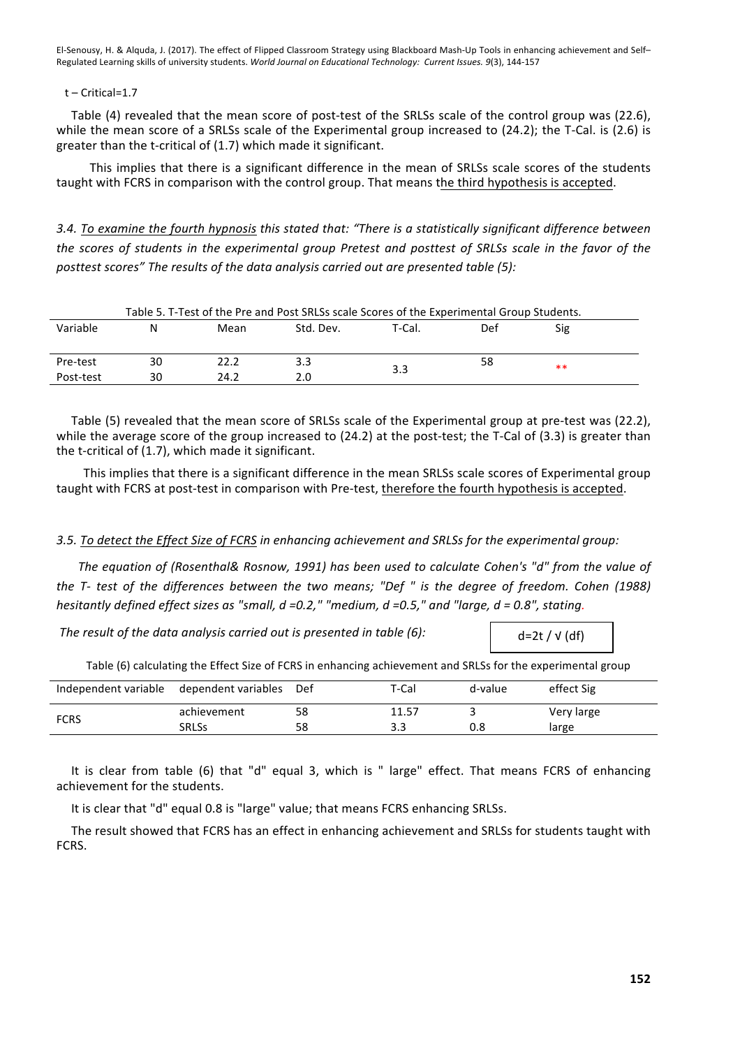#### $t$  – Critical=1.7

Table (4) revealed that the mean score of post-test of the SRLSs scale of the control group was (22.6), while the mean score of a SRLSs scale of the Experimental group increased to  $(24.2)$ ; the T-Cal. is  $(2.6)$  is greater than the t-critical of  $(1.7)$  which made it significant.

This implies that there is a significant difference in the mean of SRLSs scale scores of the students taught with FCRS in comparison with the control group. That means the third hypothesis is accepted.

3.4. To examine the fourth hypnosis this stated that: "There is a statistically significant difference between *the scores of students in the experimental group Pretest and posttest of SRLSs scale in the favor of the* posttest scores" The results of the data analysis carried out are presented table (5):

| Table 5. T-Test of the Pre and Post SRLSs scale Scores of the Experimental Group Students. |    |      |           |        |     |      |  |  |
|--------------------------------------------------------------------------------------------|----|------|-----------|--------|-----|------|--|--|
| Variable                                                                                   |    | Mean | Std. Dev. | T-Cal. | Def | Sig  |  |  |
|                                                                                            |    |      |           |        |     |      |  |  |
|                                                                                            |    |      |           |        |     |      |  |  |
| Pre-test                                                                                   | 30 | 22.2 | 3.3       |        | 58  | $**$ |  |  |
| Post-test                                                                                  | 30 | 24.2 | 2.0       | 3.3    |     |      |  |  |

Table (5) revealed that the mean score of SRLSs scale of the Experimental group at pre-test was (22.2), while the average score of the group increased to  $(24.2)$  at the post-test; the T-Cal of  $(3.3)$  is greater than the t-critical of  $(1.7)$ , which made it significant.

This implies that there is a significant difference in the mean SRLSs scale scores of Experimental group taught with FCRS at post-test in comparison with Pre-test, therefore the fourth hypothesis is accepted.

# *3.5. To detect the Effect Size of FCRS in enhancing achievement and SRLSs for the experimental group:*

The equation of (Rosenthal& Rosnow, 1991) has been used to calculate Cohen's "d" from the value of *the* T- test of the differences between the two means; "Def " is the degree of freedom. Cohen (1988) *hesitantly defined effect sizes as "small, d =0.2," "medium, d =0.5," and "large, d = 0.8", stating.*

The result of the data analysis carried out is presented in table (6):

Table (6) calculating the Effect Size of FCRS in enhancing achievement and SRLSs for the experimental group

| Independent variable dependent variables Def |              |    | T-Cal | d-value | effect Sig |
|----------------------------------------------|--------------|----|-------|---------|------------|
| <b>FCRS</b>                                  | achievement  | 58 | 11.57 |         | Very large |
|                                              | <b>SRLSs</b> | 58 |       | 0.8     | large      |

It is clear from table (6) that "d" equal 3, which is " large" effect. That means FCRS of enhancing achievement for the students.

It is clear that "d" equal 0.8 is "large" value; that means FCRS enhancing SRLSs.

The result showed that FCRS has an effect in enhancing achievement and SRLSs for students taught with FCRS.

 $d=2t / \sqrt{d}$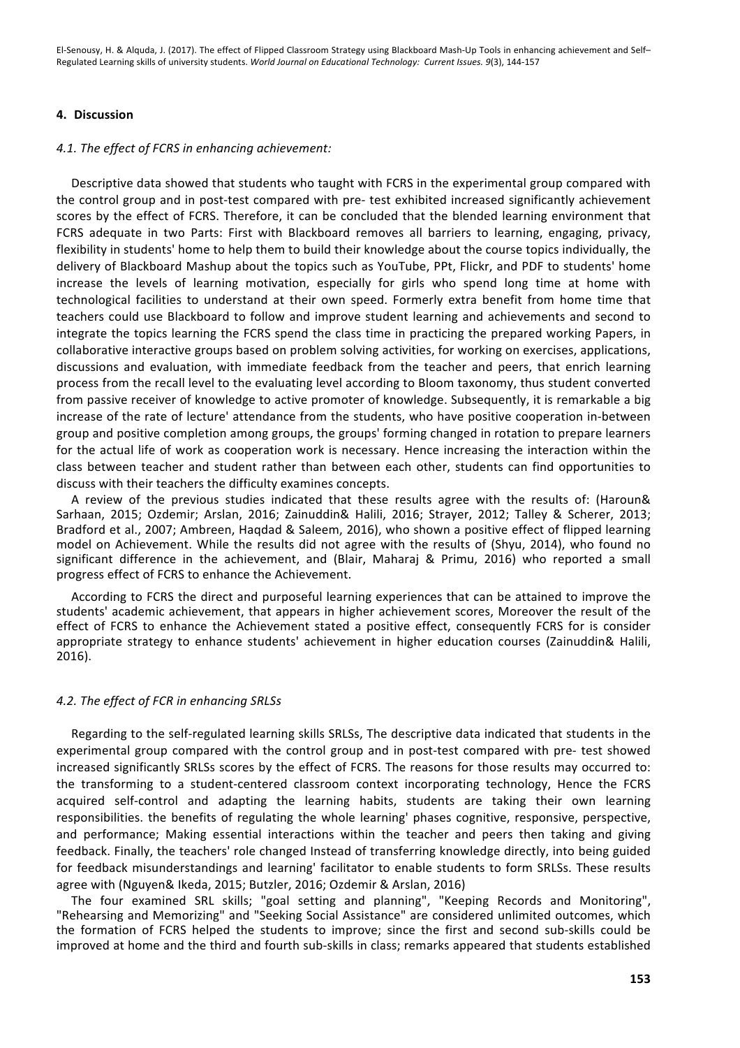# **4. Discussion**

#### 4.1. The effect of FCRS in enhancing achievement:

Descriptive data showed that students who taught with FCRS in the experimental group compared with the control group and in post-test compared with pre- test exhibited increased significantly achievement scores by the effect of FCRS. Therefore, it can be concluded that the blended learning environment that FCRS adequate in two Parts: First with Blackboard removes all barriers to learning, engaging, privacy, flexibility in students' home to help them to build their knowledge about the course topics individually, the delivery of Blackboard Mashup about the topics such as YouTube, PPt, Flickr, and PDF to students' home increase the levels of learning motivation, especially for girls who spend long time at home with technological facilities to understand at their own speed. Formerly extra benefit from home time that teachers could use Blackboard to follow and improve student learning and achievements and second to integrate the topics learning the FCRS spend the class time in practicing the prepared working Papers, in collaborative interactive groups based on problem solving activities, for working on exercises, applications, discussions and evaluation, with immediate feedback from the teacher and peers, that enrich learning process from the recall level to the evaluating level according to Bloom taxonomy, thus student converted from passive receiver of knowledge to active promoter of knowledge. Subsequently, it is remarkable a big increase of the rate of lecture' attendance from the students, who have positive cooperation in-between group and positive completion among groups, the groups' forming changed in rotation to prepare learners for the actual life of work as cooperation work is necessary. Hence increasing the interaction within the class between teacher and student rather than between each other, students can find opportunities to discuss with their teachers the difficulty examines concepts.

A review of the previous studies indicated that these results agree with the results of: (Haroun& Sarhaan, 2015; Ozdemir; Arslan, 2016; Zainuddin& Halili, 2016; Strayer, 2012; Talley & Scherer, 2013; Bradford et al., 2007; Ambreen, Haqdad & Saleem, 2016), who shown a positive effect of flipped learning model on Achievement. While the results did not agree with the results of (Shyu, 2014), who found no significant difference in the achievement, and (Blair, Maharaj & Primu, 2016) who reported a small progress effect of FCRS to enhance the Achievement.

According to FCRS the direct and purposeful learning experiences that can be attained to improve the students' academic achievement, that appears in higher achievement scores, Moreover the result of the effect of FCRS to enhance the Achievement stated a positive effect, consequently FCRS for is consider appropriate strategy to enhance students' achievement in higher education courses (Zainuddin& Halili, 2016).

#### *4.2. The effect of FCR in enhancing SRLSs*

Regarding to the self-regulated learning skills SRLSs, The descriptive data indicated that students in the experimental group compared with the control group and in post-test compared with pre- test showed increased significantly SRLSs scores by the effect of FCRS. The reasons for those results may occurred to: the transforming to a student-centered classroom context incorporating technology, Hence the FCRS acquired self-control and adapting the learning habits, students are taking their own learning responsibilities. the benefits of regulating the whole learning' phases cognitive, responsive, perspective, and performance; Making essential interactions within the teacher and peers then taking and giving feedback. Finally, the teachers' role changed Instead of transferring knowledge directly, into being guided for feedback misunderstandings and learning' facilitator to enable students to form SRLSs. These results agree with (Nguyen& Ikeda, 2015; Butzler, 2016; Ozdemir & Arslan, 2016)

The four examined SRL skills; "goal setting and planning", "Keeping Records and Monitoring", "Rehearsing and Memorizing" and "Seeking Social Assistance" are considered unlimited outcomes, which the formation of FCRS helped the students to improve; since the first and second sub-skills could be improved at home and the third and fourth sub-skills in class; remarks appeared that students established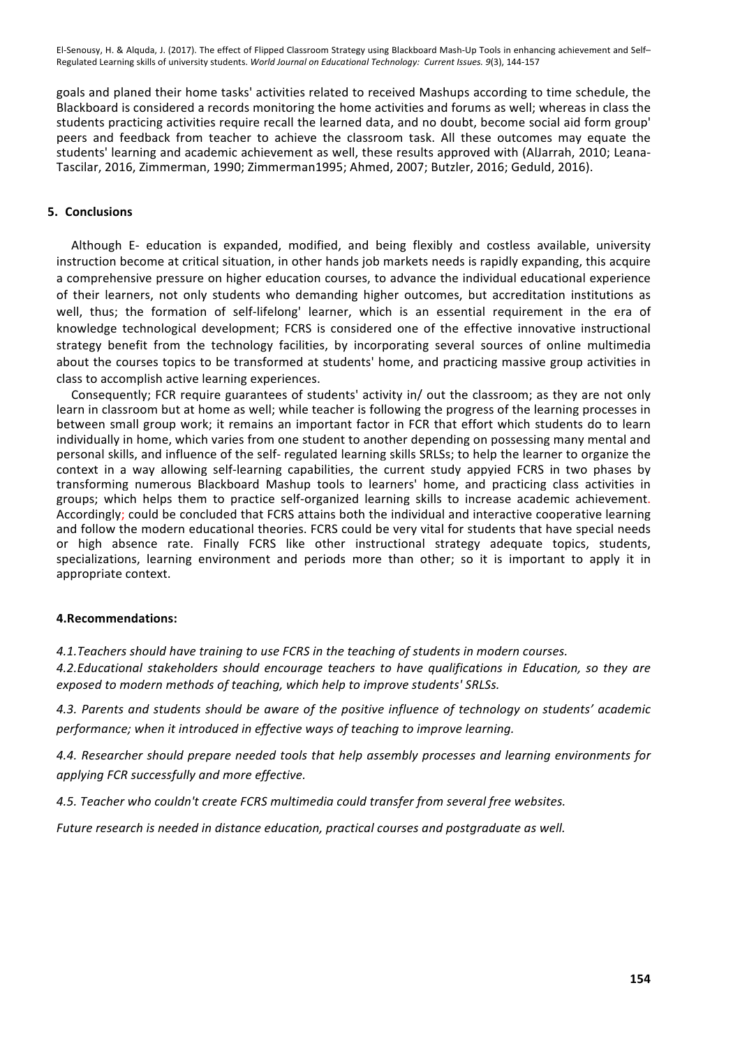goals and planed their home tasks' activities related to received Mashups according to time schedule, the Blackboard is considered a records monitoring the home activities and forums as well; whereas in class the students practicing activities require recall the learned data, and no doubt, become social aid form group' peers and feedback from teacher to achieve the classroom task. All these outcomes may equate the students' learning and academic achievement as well, these results approved with (AlJarrah, 2010; Leana-Tascilar, 2016, Zimmerman, 1990; Zimmerman1995; Ahmed, 2007; Butzler, 2016; Geduld, 2016).

### **5. Conclusions**

Although E- education is expanded, modified, and being flexibly and costless available, university instruction become at critical situation, in other hands job markets needs is rapidly expanding, this acquire a comprehensive pressure on higher education courses, to advance the individual educational experience of their learners, not only students who demanding higher outcomes, but accreditation institutions as well, thus; the formation of self-lifelong' learner, which is an essential requirement in the era of knowledge technological development; FCRS is considered one of the effective innovative instructional strategy benefit from the technology facilities, by incorporating several sources of online multimedia about the courses topics to be transformed at students' home, and practicing massive group activities in class to accomplish active learning experiences.

Consequently; FCR require guarantees of students' activity in/ out the classroom; as they are not only learn in classroom but at home as well; while teacher is following the progress of the learning processes in between small group work; it remains an important factor in FCR that effort which students do to learn individually in home, which varies from one student to another depending on possessing many mental and personal skills, and influence of the self- regulated learning skills SRLSs; to help the learner to organize the context in a way allowing self-learning capabilities, the current study appyied FCRS in two phases by transforming numerous Blackboard Mashup tools to learners' home, and practicing class activities in groups; which helps them to practice self-organized learning skills to increase academic achievement. Accordingly; could be concluded that FCRS attains both the individual and interactive cooperative learning and follow the modern educational theories. FCRS could be very vital for students that have special needs or high absence rate. Finally FCRS like other instructional strategy adequate topics, students, specializations, learning environment and periods more than other; so it is important to apply it in appropriate context.

#### **4.Recommendations:**

*4.1. Teachers should have training to use FCRS in the teaching of students in modern courses.* 

*4.2.Educational stakeholders should encourage teachers to have qualifications in Education, so they are exposed to modern methods of teaching, which help to improve students' SRLSs.* 

*4.3. Parents and students should be aware of the positive influence of technology on students' academic performance; when it introduced in effective ways of teaching to improve learning.*

4.4. Researcher should prepare needed tools that help assembly processes and learning environments for *applying FCR successfully and more effective.*

*4.5. Teacher who couldn't create FCRS multimedia could transfer from several free websites.*

*Future research is needed in distance education, practical courses and postgraduate as well.*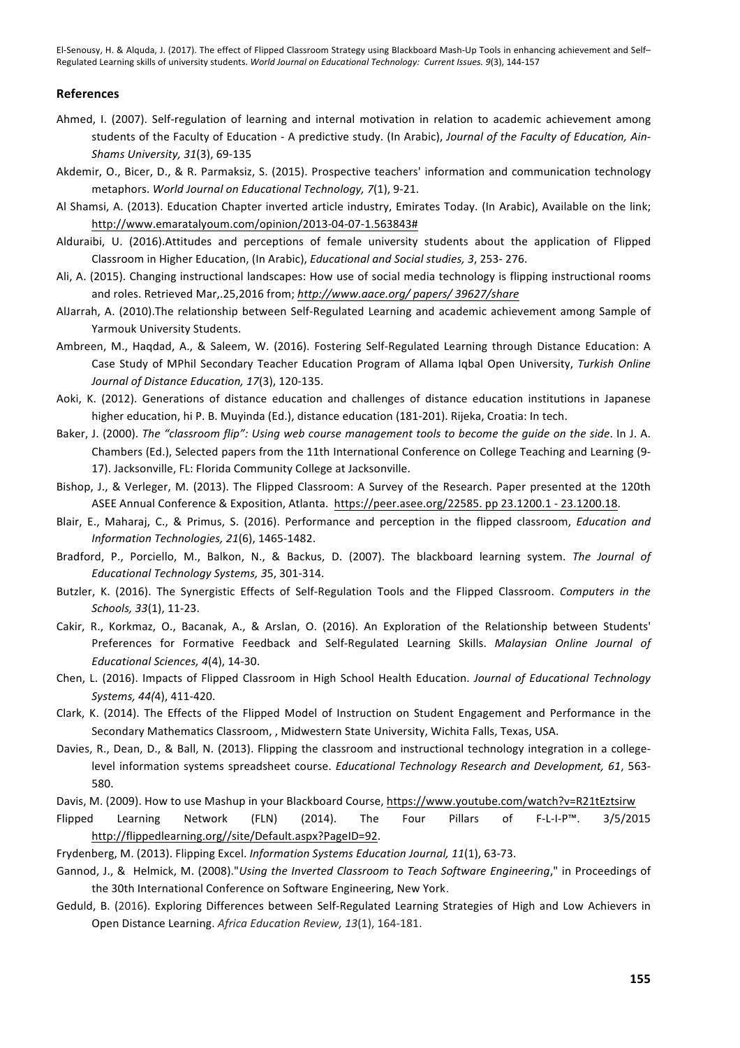#### **References**

- Ahmed, I. (2007). Self-regulation of learning and internal motivation in relation to academic achievement among students of the Faculty of Education - A predictive study. (In Arabic), *Journal of the Faculty of Education, Ain-Shams University, 31*(3), 69-135
- Akdemir, O., Bicer, D., & R. Parmaksiz, S. (2015). Prospective teachers' information and communication technology metaphors. World Journal on Educational Technology, 7(1), 9-21.
- Al Shamsi, A. (2013). Education Chapter inverted article industry, Emirates Today. (In Arabic), Available on the link; http://www.emaratalyoum.com/opinion/2013-04-07-1.563843#
- Alduraibi, U. (2016).Attitudes and perceptions of female university students about the application of Flipped Classroom in Higher Education, (In Arabic), *Educational and Social studies, 3*, 253- 276.
- Ali, A. (2015). Changing instructional landscapes: How use of social media technology is flipping instructional rooms and roles. Retrieved Mar,.25,2016 from; http://www.aace.org/ papers/ 39627/share
- AlJarrah, A. (2010).The relationship between Self-Regulated Learning and academic achievement among Sample of Yarmouk University Students.
- Ambreen, M., Haqdad, A., & Saleem, W. (2016). Fostering Self-Regulated Learning through Distance Education: A Case Study of MPhil Secondary Teacher Education Program of Allama Iqbal Open University, Turkish Online Journal of Distance Education, 17(3), 120-135.
- Aoki, K. (2012). Generations of distance education and challenges of distance education institutions in Japanese higher education, hi P. B. Muyinda (Ed.), distance education (181-201). Rijeka, Croatia: In tech.
- Baker, J. (2000). The "classroom flip": Using web course management tools to become the quide on the side. In J. A. Chambers (Ed.), Selected papers from the 11th International Conference on College Teaching and Learning (9-17). Jacksonville, FL: Florida Community College at Jacksonville.
- Bishop, J., & Verleger, M. (2013). The Flipped Classroom: A Survey of the Research. Paper presented at the 120th ASEE Annual Conference & Exposition, Atlanta. https://peer.asee.org/22585. pp 23.1200.1 - 23.1200.18.
- Blair, E., Maharaj, C., & Primus, S. (2016). Performance and perception in the flipped classroom, *Education and Information Technologies, 21*(6), 1465-1482.
- Bradford, P., Porciello, M., Balkon, N., & Backus, D. (2007). The blackboard learning system. The Journal of *Educational Technology Systems, 3*5, 301-314.
- Butzler, K. (2016). The Synergistic Effects of Self-Regulation Tools and the Flipped Classroom. *Computers in the Schools, 33*(1), 11-23.
- Cakir, R., Korkmaz, O., Bacanak, A., & Arslan, O. (2016). An Exploration of the Relationship between Students' Preferences for Formative Feedback and Self-Regulated Learning Skills. *Malaysian Online Journal of Educational Sciences, 4*(4), 14-30.
- Chen, L. (2016). Impacts of Flipped Classroom in High School Health Education. *Journal of Educational Technology Systems, 44(*4), 411-420.
- Clark, K. (2014). The Effects of the Flipped Model of Instruction on Student Engagement and Performance in the Secondary Mathematics Classroom, , Midwestern State University, Wichita Falls, Texas, USA.
- Davies, R., Dean, D., & Ball, N. (2013). Flipping the classroom and instructional technology integration in a collegelevel information systems spreadsheet course. *Educational Technology Research and Development, 61*, 563-580.
- Davis, M. (2009). How to use Mashup in your Blackboard Course, https://www.youtube.com/watch?v=R21tEztsirw
- Flipped Learning Network (FLN) (2014). The Four Pillars of F-L-I-P™. 3/5/2015 http://flippedlearning.org//site/Default.aspx?PageID=92.

Frydenberg, M. (2013). Flipping Excel. *Information Systems Education Journal, 11*(1), 63-73.

- Gannod, J., & Helmick, M. (2008)."*Using the Inverted Classroom to Teach Software Engineering*," in Proceedings of the 30th International Conference on Software Engineering, New York.
- Geduld, B. (2016). Exploring Differences between Self-Regulated Learning Strategies of High and Low Achievers in Open Distance Learning. Africa Education Review, 13(1), 164-181.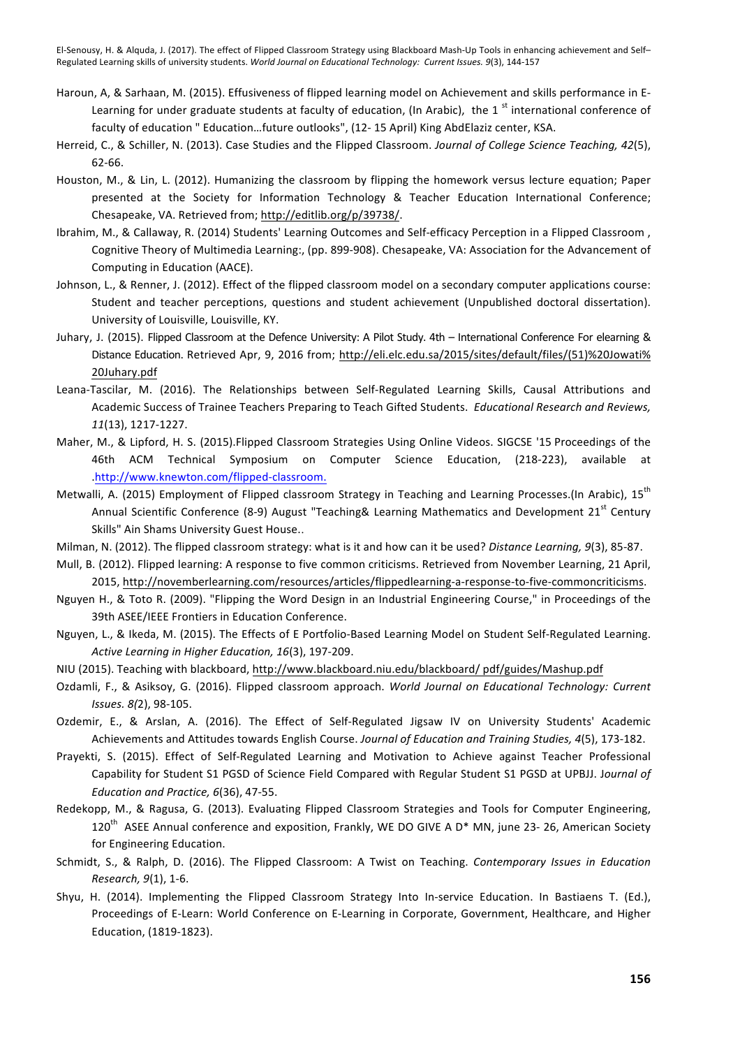- Haroun, A, & Sarhaan, M. (2015). Effusiveness of flipped learning model on Achievement and skills performance in E-Learning for under graduate students at faculty of education, (In Arabic), the 1 $s$ <sup>t</sup> international conference of faculty of education " Education...future outlooks", (12-15 April) King AbdElaziz center, KSA.
- Herreid, C., & Schiller, N. (2013). Case Studies and the Flipped Classroom. Journal of College Science Teaching, 42(5), 62-66.
- Houston, M., & Lin, L. (2012). Humanizing the classroom by flipping the homework versus lecture equation; Paper presented at the Society for Information Technology & Teacher Education International Conference; Chesapeake, VA. Retrieved from; http://editlib.org/p/39738/.
- Ibrahim, M., & Callaway, R. (2014) Students' Learning Outcomes and Self-efficacy Perception in a Flipped Classroom, Cognitive Theory of Multimedia Learning:, (pp. 899-908). Chesapeake, VA: Association for the Advancement of Computing in Education (AACE).
- Johnson, L., & Renner, J. (2012). Effect of the flipped classroom model on a secondary computer applications course: Student and teacher perceptions, questions and student achievement (Unpublished doctoral dissertation). University of Louisville, Louisville, KY.
- Juhary, J. (2015). Flipped Classroom at the Defence University: A Pilot Study. 4th International Conference For elearning & Distance Education. Retrieved Apr, 9, 2016 from; http://eli.elc.edu.sa/2015/sites/default/files/(51)%20Jowati% 20Juhary.pdf
- Leana-Tascilar, M. (2016). The Relationships between Self-Regulated Learning Skills, Causal Attributions and Academic Success of Trainee Teachers Preparing to Teach Gifted Students. *Educational Research and Reviews*, *11*(13), 1217-1227.
- Maher, M., & Lipford, H. S. (2015).Flipped Classroom Strategies Using Online Videos. SIGCSE '15 Proceedings of the 46th ACM Technical Symposium on Computer Science Education, (218-223), available .http://www.knewton.com/flipped-classroom.
- Metwalli, A. (2015) Employment of Flipped classroom Strategy in Teaching and Learning Processes.(In Arabic), 15<sup>th</sup> Annual Scientific Conference (8-9) August "Teaching& Learning Mathematics and Development 21<sup>st</sup> Century Skills" Ain Shams University Guest House..
- Milman, N. (2012). The flipped classroom strategy: what is it and how can it be used? Distance Learning, 9(3), 85-87.
- Mull, B. (2012). Flipped learning: A response to five common criticisms. Retrieved from November Learning, 21 April, 2015, http://novemberlearning.com/resources/articles/flippedlearning-a-response-to-five-commoncriticisms.
- Nguyen H., & Toto R. (2009). "Flipping the Word Design in an Industrial Engineering Course," in Proceedings of the 39th ASEE/IEEE Frontiers in Education Conference.
- Nguyen, L., & Ikeda, M. (2015). The Effects of E Portfolio-Based Learning Model on Student Self-Regulated Learning. Active Learning in Higher Education, 16(3), 197-209.
- NIU (2015). Teaching with blackboard, http://www.blackboard.niu.edu/blackboard/ pdf/guides/Mashup.pdf
- Ozdamli, F., & Asiksoy, G. (2016). Flipped classroom approach. World Journal on Educational Technology: Current *Issues. 8(*2), 98-105.
- Ozdemir, E., & Arslan, A. (2016). The Effect of Self-Regulated Jigsaw IV on University Students' Academic Achievements and Attitudes towards English Course. *Journal of Education and Training Studies, 4*(5), 173-182.
- Prayekti, S. (2015). Effect of Self-Regulated Learning and Motivation to Achieve against Teacher Professional Capability for Student S1 PGSD of Science Field Compared with Regular Student S1 PGSD at UPBJJ. Journal of *Education and Practice, 6*(36), 47-55.
- Redekopp, M., & Ragusa, G. (2013). Evaluating Flipped Classroom Strategies and Tools for Computer Engineering, 120<sup>th</sup> ASEE Annual conference and exposition, Frankly, WE DO GIVE A D\* MN, june 23- 26, American Society for Engineering Education.
- Schmidt, S., & Ralph, D. (2016). The Flipped Classroom: A Twist on Teaching. Contemporary Issues in Education *Research, 9*(1), 1-6.
- Shyu, H. (2014). Implementing the Flipped Classroom Strategy Into In-service Education. In Bastiaens T. (Ed.), Proceedings of E-Learn: World Conference on E-Learning in Corporate, Government, Healthcare, and Higher Education, (1819-1823).